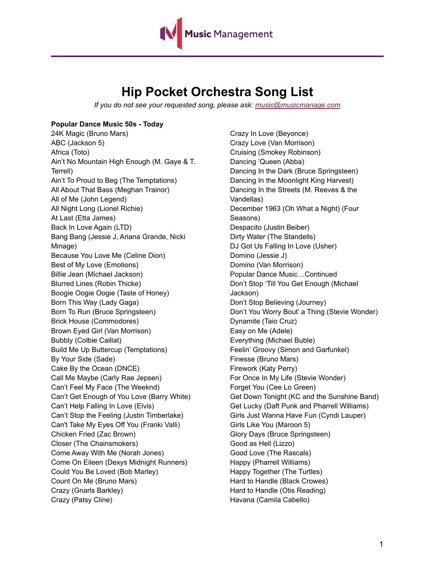

## **Hip Pocket Orchestra Song List**

*If you do not see your requested song, please ask: [music@musicmanage.com](mailto:music@musicmanage.com)*

### **Popular Dance Music 50s - Today**

24K Magic (Bruno Mars) ABC (Jackson 5) Africa (Toto) Ain't No Mountain High Enough (M. Gaye & T. Terrell) Ain't To Proud to Beg (The Temptations) All About That Bass (Meghan Trainor) All of Me (John Legend) All Night Long (Lionel Richie) At Last (Etta James) Back In Love Again (LTD) Bang Bang (Jessie J, Ariana Grande, Nicki Minage) Because You Love Me (Celine Dion) Best of My Love (Emotions) Billie Jean (Michael Jackson) Blurred Lines (Robin Thicke) Boogie Oogie Oogie (Taste of Honey) Born This Way (Lady Gaga) Born To Run (Bruce Springsteen) Brick House (Commodores) Brown Eyed Girl (Van Morrison) Bubbly (Colbie Caillat) Build Me Up Buttercup (Temptations) By Your Side (Sade) Cake By the Ocean (DNCE) Call Me Maybe (Carly Rae Jepsen) Can't Feel My Face (The Weeknd) Can't Get Enough of You Love (Barry White) Can't Help Falling In Love (Elvis) Can't Stop the Feeling (Justin Timberlake) Can't Take My Eyes Off You (Franki Valli) Chicken Fried (Zac Brown) Closer (The Chainsmokers) Come Away With Me (Norah Jones) Come On Eileen (Dexys Midnight Runners) Could You Be Loved (Bob Marley) Count On Me (Bruno Mars) Crazy (Gnarls Barkley) Crazy (Patsy Cline)

Crazy In Love (Beyonce) Crazy Love (Van Morrison) Cruising (Smokey Robinson) Dancing 'Queen (Abba) Dancing In the Dark (Bruce Springsteen) Dancing In the Moonlight King Harvest) Dancing In the Streets (M. Reeves & the Vandellas) December 1963 (Oh What a Night) (Four Seasons) Despacito (Justin Beiber) Dirty Water (The Standells) DJ Got Us Falling In Love (Usher) Domino (Jessie J) Domino (Van Morrison) Popular Dance Music…Continued Don't Stop 'Till You Get Enough (Michael Jackson) Don't Stop Believing (Journey) Don't You Worry Bout' a Thing (Stevie Wonder) Dynamite (Taio Cruz) Easy on Me (Adele) Everything (Michael Buble) Feelin' Groovy (Simon and Garfunkel) Finesse (Bruno Mars) Firework (Katy Perry) For Once In My Life (Stevie Wonder) Forget You (Cee Lo Green) Get Down Tonight (KC and the Sunshine Band) Get Lucky (Daft Punk and Pharrell Williams) Girls Just Wanna Have Fun (Cyndi Lauper) Girls Like You (Maroon 5) Glory Days (Bruce Springsteen) Good as Hell (Lizzo) Good Love (The Rascals) Happy (Pharrell Williams) Happy Together (The Turtles) Hard to Handle (Black Crowes) Hard to Handle (Otis Reading) Havana (Camila Cabello)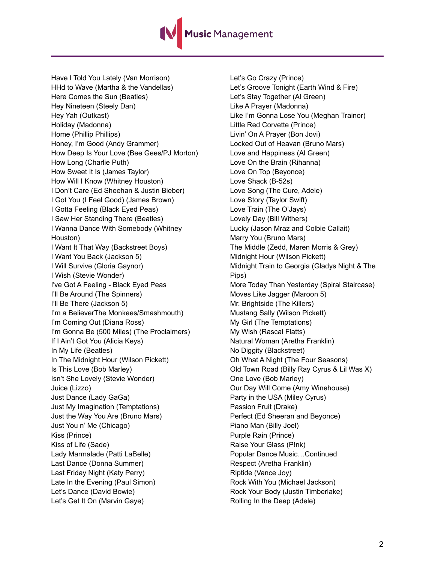Music Management

Have I Told You Lately (Van Morrison) HHd to Wave (Martha & the Vandellas) Here Comes the Sun (Beatles) Hey Nineteen (Steely Dan) Hey Yah (Outkast) Holiday (Madonna) Home (Phillip Phillips) Honey, I'm Good (Andy Grammer) How Deep Is Your Love (Bee Gees/PJ Morton) How Long (Charlie Puth) How Sweet It Is (James Taylor) How Will I Know (Whitney Houston) I Don't Care (Ed Sheehan & Justin Bieber) I Got You (I Feel Good) (James Brown) I Gotta Feeling (Black Eyed Peas) I Saw Her Standing There (Beatles) I Wanna Dance With Somebody (Whitney Houston) I Want It That Way (Backstreet Boys) I Want You Back (Jackson 5) I Will Survive (Gloria Gaynor) I Wish (Stevie Wonder) I've Got A Feeling - Black Eyed Peas I'll Be Around (The Spinners) I'll Be There (Jackson 5) I'm a BelieverThe Monkees/Smashmouth) I'm Coming Out (Diana Ross) I'm Gonna Be (500 Miles) (The Proclaimers) If I Ain't Got You (Alicia Keys) In My Life (Beatles) In The Midnight Hour (Wilson Pickett) Is This Love (Bob Marley) Isn't She Lovely (Stevie Wonder) Juice (Lizzo) Just Dance (Lady GaGa) Just My Imagination (Temptations) Just the Way You Are (Bruno Mars) Just You n' Me (Chicago) Kiss (Prince) Kiss of Life (Sade) Lady Marmalade (Patti LaBelle) Last Dance (Donna Summer) Last Friday Night (Katy Perry) Late In the Evening (Paul Simon) Let's Dance (David Bowie) Let's Get It On (Marvin Gaye)

Let's Go Crazy (Prince) Let's Groove Tonight (Earth Wind & Fire) Let's Stay Together (Al Green) Like A Prayer (Madonna) Like I'm Gonna Lose You (Meghan Trainor) Little Red Corvette (Prince) Livin' On A Prayer (Bon Jovi) Locked Out of Heavan (Bruno Mars) Love and Happiness (Al Green) Love On the Brain (Rihanna) Love On Top (Beyonce) Love Shack (B-52s) Love Song (The Cure, Adele) Love Story (Taylor Swift) Love Train (The O'Jays) Lovely Day (Bill Withers) Lucky (Jason Mraz and Colbie Callait) Marry You (Bruno Mars) The Middle (Zedd, Maren Morris & Grey) Midnight Hour (Wilson Pickett) Midnight Train to Georgia (Gladys Night & The Pips) More Today Than Yesterday (Spiral Staircase) Moves Like Jagger (Maroon 5) Mr. Brightside (The Killers) Mustang Sally (Wilson Pickett) My Girl (The Temptations) My Wish (Rascal Flatts) Natural Woman (Aretha Franklin) No Diggity (Blackstreet) Oh What A Night (The Four Seasons) Old Town Road (Billy Ray Cyrus & Lil Was X) One Love (Bob Marley) Our Day Will Come (Amy Winehouse) Party in the USA (Miley Cyrus) Passion Fruit (Drake) Perfect (Ed Sheeran and Beyonce) Piano Man (Billy Joel) Purple Rain (Prince) Raise Your Glass (P!nk) Popular Dance Music…Continued Respect (Aretha Franklin) Riptide (Vance Joy) Rock With You (Michael Jackson) Rock Your Body (Justin Timberlake) Rolling In the Deep (Adele)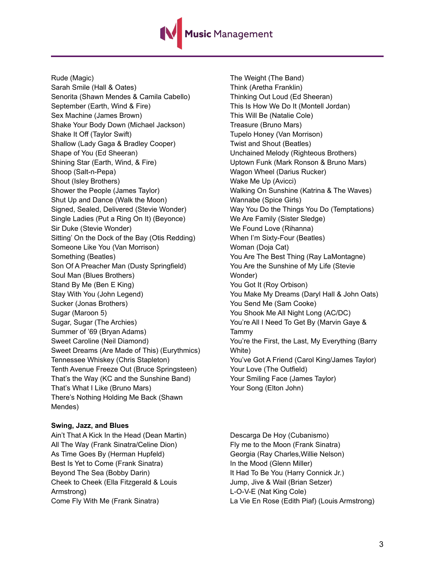# <mark>1usic</mark> Management

Rude (Magic) Sarah Smile (Hall & Oates) Senorita (Shawn Mendes & Camila Cabello) September (Earth, Wind & Fire) Sex Machine (James Brown) Shake Your Body Down (Michael Jackson) Shake It Off (Taylor Swift) Shallow (Lady Gaga & Bradley Cooper) Shape of You (Ed Sheeran) Shining Star (Earth, Wind, & Fire) Shoop (Salt-n-Pepa) Shout (Isley Brothers) Shower the People (James Taylor) Shut Up and Dance (Walk the Moon) Signed, Sealed, Delivered (Stevie Wonder) Single Ladies (Put a Ring On It) (Beyonce) Sir Duke (Stevie Wonder) Sitting' On the Dock of the Bay (Otis Redding) Someone Like You (Van Morrison) Something (Beatles) Son Of A Preacher Man (Dusty Springfield) Soul Man (Blues Brothers) Stand By Me (Ben E King) Stay With You (John Legend) Sucker (Jonas Brothers) Sugar (Maroon 5) Sugar, Sugar (The Archies) Summer of '69 (Bryan Adams) Sweet Caroline (Neil Diamond) Sweet Dreams (Are Made of This) (Eurythmics) Tennessee Whiskey (Chris Stapleton) Tenth Avenue Freeze Out (Bruce Springsteen) That's the Way (KC and the Sunshine Band) That's What I Like (Bruno Mars) There's Nothing Holding Me Back (Shawn Mendes)

#### **Swing, Jazz, and Blues**

Ain't That A Kick In the Head (Dean Martin) All The Way (Frank Sinatra/Celine Dion) As Time Goes By (Herman Hupfeld) Best Is Yet to Come (Frank Sinatra) Beyond The Sea (Bobby Darin) Cheek to Cheek (Ella Fitzgerald & Louis Armstrong) Come Fly With Me (Frank Sinatra)

The Weight (The Band) Think (Aretha Franklin) Thinking Out Loud (Ed Sheeran) This Is How We Do It (Montell Jordan) This Will Be (Natalie Cole) Treasure (Bruno Mars) Tupelo Honey (Van Morrison) Twist and Shout (Beatles) Unchained Melody (Righteous Brothers) Uptown Funk (Mark Ronson & Bruno Mars) Wagon Wheel (Darius Rucker) Wake Me Up (Avicci) Walking On Sunshine (Katrina & The Waves) Wannabe (Spice Girls) Way You Do the Things You Do (Temptations) We Are Family (Sister Sledge) We Found Love (Rihanna) When I'm Sixty-Four (Beatles) Woman (Doja Cat) You Are The Best Thing (Ray LaMontagne) You Are the Sunshine of My Life (Stevie Wonder) You Got It (Roy Orbison) You Make My Dreams (Daryl Hall & John Oats) You Send Me (Sam Cooke) You Shook Me All Night Long (AC/DC) You're All I Need To Get By (Marvin Gaye & Tammy You're the First, the Last, My Everything (Barry White) You've Got A Friend (Carol King/James Taylor) Your Love (The Outfield) Your Smiling Face (James Taylor) Your Song (Elton John)

Descarga De Hoy (Cubanismo) Fly me to the Moon (Frank Sinatra) Georgia (Ray Charles,Willie Nelson) In the Mood (Glenn Miller) It Had To Be You (Harry Connick Jr.) Jump, Jive & Wail (Brian Setzer) L-O-V-E (Nat King Cole) La Vie En Rose (Edith Piaf) (Louis Armstrong)